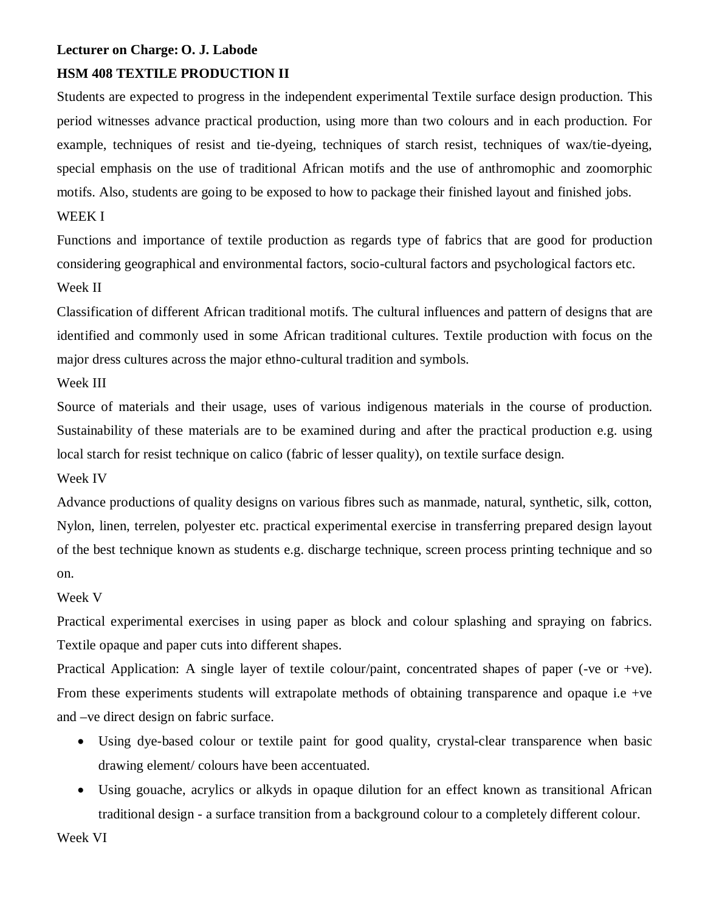# **Lecturer on Charge: O. J. Labode**

# **HSM 408 TEXTILE PRODUCTION II**

Students are expected to progress in the independent experimental Textile surface design production. This period witnesses advance practical production, using more than two colours and in each production. For example, techniques of resist and tie-dyeing, techniques of starch resist, techniques of wax/tie-dyeing, special emphasis on the use of traditional African motifs and the use of anthromophic and zoomorphic motifs. Also, students are going to be exposed to how to package their finished layout and finished jobs.

### WEEK I

Functions and importance of textile production as regards type of fabrics that are good for production considering geographical and environmental factors, socio-cultural factors and psychological factors etc. Week II

Classification of different African traditional motifs. The cultural influences and pattern of designs that are identified and commonly used in some African traditional cultures. Textile production with focus on the major dress cultures across the major ethno-cultural tradition and symbols.

Week III

Source of materials and their usage, uses of various indigenous materials in the course of production. Sustainability of these materials are to be examined during and after the practical production e.g. using local starch for resist technique on calico (fabric of lesser quality), on textile surface design.

Week IV

Advance productions of quality designs on various fibres such as manmade, natural, synthetic, silk, cotton, Nylon, linen, terrelen, polyester etc. practical experimental exercise in transferring prepared design layout of the best technique known as students e.g. discharge technique, screen process printing technique and so on.

## Week V

Practical experimental exercises in using paper as block and colour splashing and spraying on fabrics. Textile opaque and paper cuts into different shapes.

Practical Application: A single layer of textile colour/paint, concentrated shapes of paper (-ve or +ve). From these experiments students will extrapolate methods of obtaining transparence and opaque i.e +ve and –ve direct design on fabric surface.

- Using dye-based colour or textile paint for good quality, crystal-clear transparence when basic drawing element/ colours have been accentuated.
- Using gouache, acrylics or alkyds in opaque dilution for an effect known as transitional African traditional design - a surface transition from a background colour to a completely different colour.

Week VI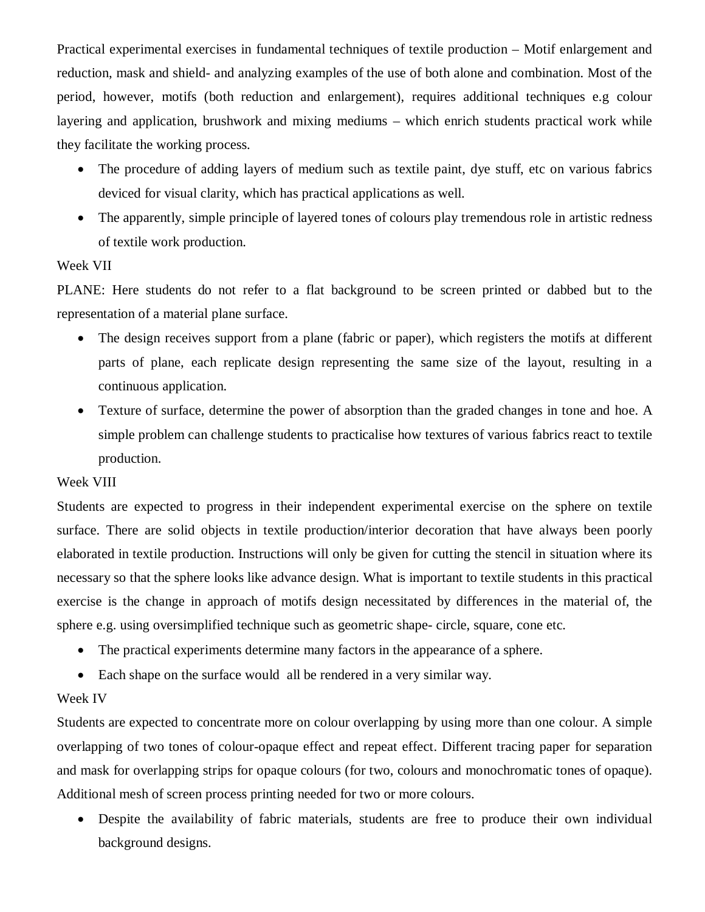Practical experimental exercises in fundamental techniques of textile production – Motif enlargement and reduction, mask and shield- and analyzing examples of the use of both alone and combination. Most of the period, however, motifs (both reduction and enlargement), requires additional techniques e.g colour layering and application, brushwork and mixing mediums – which enrich students practical work while they facilitate the working process.

- The procedure of adding layers of medium such as textile paint, dye stuff, etc on various fabrics deviced for visual clarity, which has practical applications as well.
- The apparently, simple principle of layered tones of colours play tremendous role in artistic redness of textile work production.

#### Week VII

PLANE: Here students do not refer to a flat background to be screen printed or dabbed but to the representation of a material plane surface.

- The design receives support from a plane (fabric or paper), which registers the motifs at different parts of plane, each replicate design representing the same size of the layout, resulting in a continuous application.
- Texture of surface, determine the power of absorption than the graded changes in tone and hoe. A simple problem can challenge students to practicalise how textures of various fabrics react to textile production.

#### Week VIII

Students are expected to progress in their independent experimental exercise on the sphere on textile surface. There are solid objects in textile production/interior decoration that have always been poorly elaborated in textile production. Instructions will only be given for cutting the stencil in situation where its necessary so that the sphere looks like advance design. What is important to textile students in this practical exercise is the change in approach of motifs design necessitated by differences in the material of, the sphere e.g. using oversimplified technique such as geometric shape- circle, square, cone etc.

- The practical experiments determine many factors in the appearance of a sphere.
- Each shape on the surface would all be rendered in a very similar way.

#### Week IV

Students are expected to concentrate more on colour overlapping by using more than one colour. A simple overlapping of two tones of colour-opaque effect and repeat effect. Different tracing paper for separation and mask for overlapping strips for opaque colours (for two, colours and monochromatic tones of opaque). Additional mesh of screen process printing needed for two or more colours.

 Despite the availability of fabric materials, students are free to produce their own individual background designs.